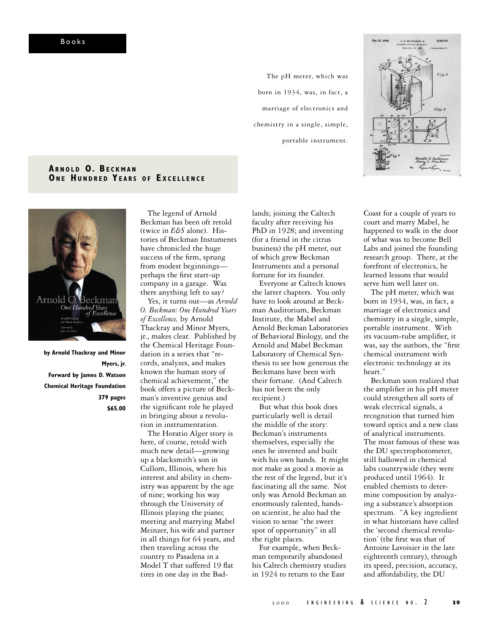The pH meter, which was born in 1934, was, in fact, a marriage of electronics and chemistry in a single, simple, portable instrument.



## **ARNOLD O. BECKMAN ONE HUNDRED YEARS OF EXCELLENCE**



**by Arnold Thackray and Minor Myers, jr. Forward by James D. Watson Chemical Heritage Foundation 379 pages \$65.00**

The legend of Arnold Beckman has been oft retold (twice in *E&S* alone). Histories of Beckman Instuments have chronicled the huge success of the firm, sprung from modest beginnings perhaps the first start-up company in a garage. Was there anything left to say?

Yes, it turns out—as *Arnold O. Beckman: One Hundred Years of Excellence,* by Arnold Thackray and Minor Myers, jr., makes clear. Published by the Chemical Heritage Foundation in a series that "records, analyzes, and makes known the human story of chemical achievement," the book offers a picture of Beckman's inventive genius and the significant role he played in bringing about a revolution in instrumentation.

The Horatio Alger story is here, of course, retold with much new detail—growing up a blacksmith's son in Cullom, Illinois, where his interest and ability in chemistry was apparent by the age of nine; working his way through the University of Illinois playing the piano; meeting and marrying Mabel Meinzer, his wife and partner in all things for 64 years, and then traveling across the country to Pasadena in a Model T that suffered 19 flat tires in one day in the Badlands; joining the Caltech faculty after receiving his PhD in 1928; and inventing (for a friend in the citrus business) the pH meter, out of which grew Beckman Instruments and a personal fortune for its founder.

Everyone at Caltech knows the latter chapters. You only have to look around at Beckman Auditorium, Beckman Institute, the Mabel and Arnold Beckman Laboratories of Behavioral Biology, and the Arnold and Mabel Beckman Laboratory of Chemical Synthesis to see how generous the Beckmans have been with their fortune. (And Caltech has not been the only recipient.)

But what this book does particularly well is detail the middle of the story: Beckman's instruments themselves, especially the ones he invented and built with his own hands. It might not make as good a movie as the rest of the legend, but it's fascinating all the same. Not only was Arnold Beckman an enormously talented, handson scientist, he also had the vision to sense "the sweet spot of opportunity" in all the right places.

For example, when Beckman temporarily abandoned his Caltech chemistry studies in 1924 to return to the East

Coast for a couple of years to court and marry Mabel, he happened to walk in the door of what was to become Bell Labs and joined the founding research group. There, at the forefront of electronics, he learned lessons that would serve him well later on.

The pH meter, which was born in 1934, was, in fact, a marriage of electronics and chemistry in a single, simple, portable instrument. With its vacuum-tube amplifier, it was, say the authors, the "first chemical instrument with electronic technology at its heart."

Beckman soon realized that the amplifier in his pH meter could strengthen all sorts of weak electrical signals, a recognition that turned him toward optics and a new class of analytical instruments. The most famous of these was the DU spectrophotometer, still hallowed in chemical labs countrywide (they were produced until 1964). It enabled chemists to determine composition by analyzing a substance's absorption spectrum. "A key ingredient in what historians have called the 'second chemical revolution' (the first was that of Antoine Lavoisier in the late eighteenth century), through its speed, precision, accuracy, and affordability, the DU